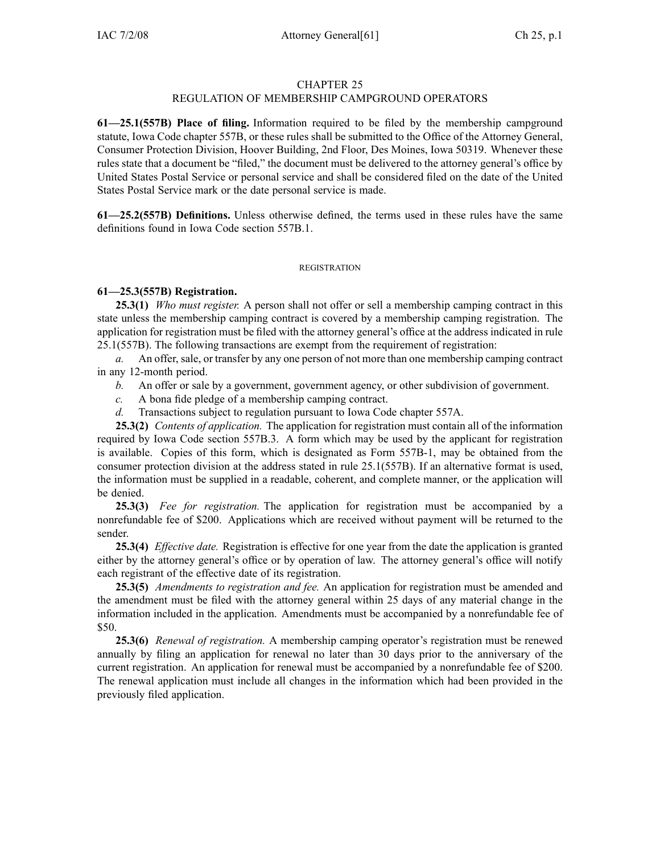### CHAPTER 25

# REGULATION OF MEMBERSHIP CAMPGROUND OPERATORS

**61—25.1(557B) Place of filing.** Information required to be filed by the membership campground statute, Iowa Code chapter 557B, or these rules shall be submitted to the Office of the Attorney General, Consumer Protection Division, Hoover Building, 2nd Floor, Des Moines, Iowa 50319. Whenever these rules state that <sup>a</sup> document be "filed," the document must be delivered to the attorney general's office by United States Postal Service or personal service and shall be considered filed on the date of the United States Postal Service mark or the date personal service is made.

**61—25.2(557B) Definitions.** Unless otherwise defined, the terms used in these rules have the same definitions found in Iowa Code section 557B.1.

### REGISTRATION

# **61—25.3(557B) Registration.**

**25.3(1)** *Who must register.* A person shall not offer or sell <sup>a</sup> membership camping contract in this state unless the membership camping contract is covered by <sup>a</sup> membership camping registration. The application for registration must be filed with the attorney general's office at the address indicated in rule 25.1(557B). The following transactions are exemp<sup>t</sup> from the requirement of registration:

*a.* An offer, sale, or transfer by any one person of not more than one membership camping contract in any 12-month period.

*b.* An offer or sale by <sup>a</sup> government, governmen<sup>t</sup> agency, or other subdivision of government.

*c.* A bona fide pledge of <sup>a</sup> membership camping contract.

*d.* Transactions subject to regulation pursuan<sup>t</sup> to Iowa Code chapter 557A.

**25.3(2)** *Contents of application.* The application for registration must contain all of the information required by Iowa Code section 557B.3. A form which may be used by the applicant for registration is available. Copies of this form, which is designated as Form 557B-1, may be obtained from the consumer protection division at the address stated in rule 25.1(557B). If an alternative format is used, the information must be supplied in <sup>a</sup> readable, coherent, and complete manner, or the application will be denied.

**25.3(3)** *Fee for registration.* The application for registration must be accompanied by <sup>a</sup> nonrefundable fee of \$200. Applications which are received without paymen<sup>t</sup> will be returned to the sender.

**25.3(4)** *Effective date.* Registration is effective for one year from the date the application is granted either by the attorney general's office or by operation of law. The attorney general's office will notify each registrant of the effective date of its registration.

**25.3(5)** *Amendments to registration and fee.* An application for registration must be amended and the amendment must be filed with the attorney general within 25 days of any material change in the information included in the application. Amendments must be accompanied by <sup>a</sup> nonrefundable fee of \$50.

**25.3(6)** *Renewal of registration.* A membership camping operator's registration must be renewed annually by filing an application for renewal no later than 30 days prior to the anniversary of the current registration. An application for renewal must be accompanied by <sup>a</sup> nonrefundable fee of \$200. The renewal application must include all changes in the information which had been provided in the previously filed application.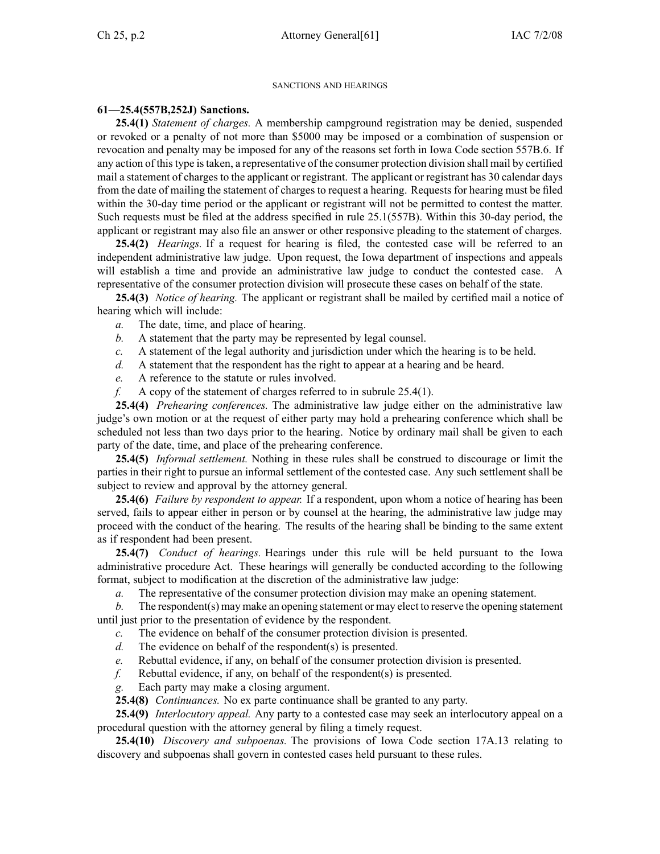### SANCTIONS AND HEARINGS

# **61—25.4(557B,252J) Sanctions.**

**25.4(1)** *Statement of charges.* A membership campground registration may be denied, suspended or revoked or <sup>a</sup> penalty of not more than \$5000 may be imposed or <sup>a</sup> combination of suspension or revocation and penalty may be imposed for any of the reasons set forth in Iowa Code section 557B.6. If any action of thistype istaken, <sup>a</sup> representative of the consumer protection division shall mail by certified mail <sup>a</sup> statement of charges to the applicant or registrant. The applicant or registrant has 30 calendar days from the date of mailing the statement of charges to reques<sup>t</sup> <sup>a</sup> hearing. Requests for hearing must be filed within the 30-day time period or the applicant or registrant will not be permitted to contest the matter. Such requests must be filed at the address specified in rule 25.1(557B). Within this 30-day period, the applicant or registrant may also file an answer or other responsive pleading to the statement of charges.

**25.4(2)** *Hearings.* If <sup>a</sup> reques<sup>t</sup> for hearing is filed, the contested case will be referred to an independent administrative law judge. Upon request, the Iowa department of inspections and appeals will establish <sup>a</sup> time and provide an administrative law judge to conduct the contested case. A representative of the consumer protection division will prosecute these cases on behalf of the state.

**25.4(3)** *Notice of hearing.* The applicant or registrant shall be mailed by certified mail <sup>a</sup> notice of hearing which will include:

- *a.* The date, time, and place of hearing.
- *b.* A statement that the party may be represented by legal counsel.
- *c.* A statement of the legal authority and jurisdiction under which the hearing is to be held.
- *d.* A statement that the respondent has the right to appear at <sup>a</sup> hearing and be heard.
- *e.* A reference to the statute or rules involved.
- *f.* A copy of the statement of charges referred to in subrule 25.4(1).

**25.4(4)** *Prehearing conferences.* The administrative law judge either on the administrative law judge's own motion or at the reques<sup>t</sup> of either party may hold <sup>a</sup> prehearing conference which shall be scheduled not less than two days prior to the hearing. Notice by ordinary mail shall be given to each party of the date, time, and place of the prehearing conference.

**25.4(5)** *Informal settlement.* Nothing in these rules shall be construed to discourage or limit the parties in their right to pursue an informal settlement of the contested case. Any such settlement shall be subject to review and approval by the attorney general.

**25.4(6)** *Failure by respondent to appear.* If <sup>a</sup> respondent, upon whom <sup>a</sup> notice of hearing has been served, fails to appear either in person or by counsel at the hearing, the administrative law judge may proceed with the conduct of the hearing. The results of the hearing shall be binding to the same extent as if respondent had been present.

**25.4(7)** *Conduct of hearings.* Hearings under this rule will be held pursuan<sup>t</sup> to the Iowa administrative procedure Act. These hearings will generally be conducted according to the following format, subject to modification at the discretion of the administrative law judge:

*a.* The representative of the consumer protection division may make an opening statement.

*b.* The respondent(s) may make an opening statement or may elect to reserve the opening statement until just prior to the presentation of evidence by the respondent.

- *c.* The evidence on behalf of the consumer protection division is presented.
- *d.* The evidence on behalf of the respondent(s) is presented.
- *e.* Rebuttal evidence, if any, on behalf of the consumer protection division is presented.
- *f.* Rebuttal evidence, if any, on behalf of the respondent(s) is presented.
- *g.* Each party may make <sup>a</sup> closing argument.

**25.4(8)** *Continuances.* No ex parte continuance shall be granted to any party.

**25.4(9)** *Interlocutory appeal.* Any party to <sup>a</sup> contested case may seek an interlocutory appeal on <sup>a</sup> procedural question with the attorney general by filing <sup>a</sup> timely request.

**25.4(10)** *Discovery and subpoenas.* The provisions of Iowa Code section 17A.13 relating to discovery and subpoenas shall govern in contested cases held pursuan<sup>t</sup> to these rules.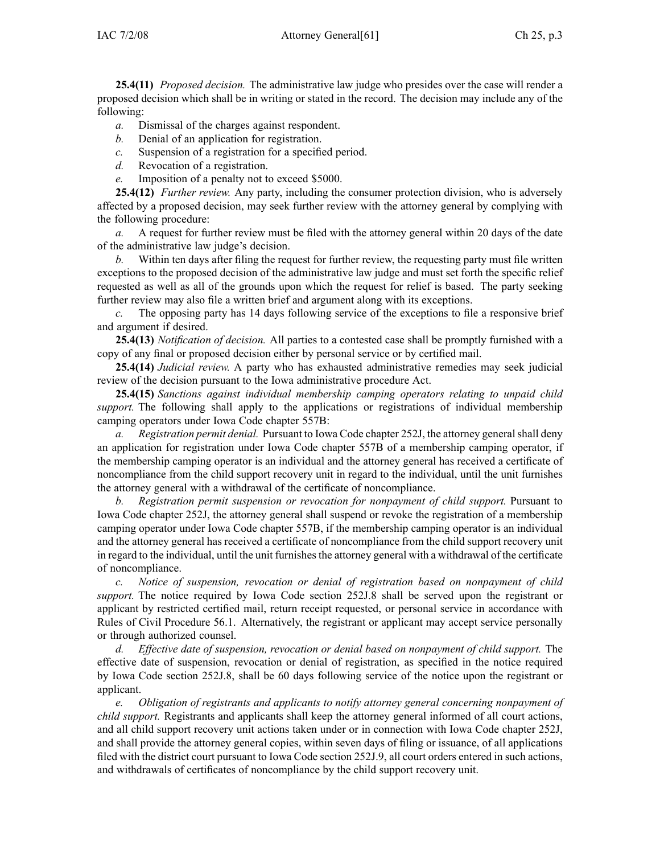**25.4(11)** *Proposed decision.* The administrative law judge who presides over the case will render <sup>a</sup> proposed decision which shall be in writing or stated in the record. The decision may include any of the following:

- *a.* Dismissal of the charges against respondent.
- *b.* Denial of an application for registration.
- *c.* Suspension of <sup>a</sup> registration for <sup>a</sup> specified period.
- *d.* Revocation of <sup>a</sup> registration.
- *e.* Imposition of <sup>a</sup> penalty not to exceed \$5000.

**25.4(12)** *Further review.* Any party, including the consumer protection division, who is adversely affected by <sup>a</sup> proposed decision, may seek further review with the attorney general by complying with the following procedure:

*a.* A reques<sup>t</sup> for further review must be filed with the attorney general within 20 days of the date of the administrative law judge's decision.

*b.* Within ten days after filing the reques<sup>t</sup> for further review, the requesting party must file written exceptions to the proposed decision of the administrative law judge and must set forth the specific relief requested as well as all of the grounds upon which the reques<sup>t</sup> for relief is based. The party seeking further review may also file <sup>a</sup> written brief and argumen<sup>t</sup> along with its exceptions.

*c.* The opposing party has 14 days following service of the exceptions to file <sup>a</sup> responsive brief and argumen<sup>t</sup> if desired.

**25.4(13)** *Notification of decision.* All parties to <sup>a</sup> contested case shall be promptly furnished with <sup>a</sup> copy of any final or proposed decision either by personal service or by certified mail.

**25.4(14)** *Judicial review.* A party who has exhausted administrative remedies may seek judicial review of the decision pursuan<sup>t</sup> to the Iowa administrative procedure Act.

**25.4(15)** *Sanctions against individual membership camping operators relating to unpaid child support.* The following shall apply to the applications or registrations of individual membership camping operators under Iowa Code chapter 557B:

*a. Registration permit denial.* Pursuant to Iowa Code chapter 252J, the attorney generalshall deny an application for registration under Iowa Code chapter 557B of <sup>a</sup> membership camping operator, if the membership camping operator is an individual and the attorney general has received <sup>a</sup> certificate of noncompliance from the child suppor<sup>t</sup> recovery unit in regard to the individual, until the unit furnishes the attorney general with <sup>a</sup> withdrawal of the certificate of noncompliance.

*b. Registration permit suspension or revocation for nonpaymen<sup>t</sup> of child support.* Pursuant to Iowa Code chapter 252J, the attorney general shall suspend or revoke the registration of <sup>a</sup> membership camping operator under Iowa Code chapter 557B, if the membership camping operator is an individual and the attorney general has received <sup>a</sup> certificate of noncompliance from the child suppor<sup>t</sup> recovery unit in regard to the individual, until the unit furnishes the attorney general with a withdrawal of the certificate of noncompliance.

*c. Notice of suspension, revocation or denial of registration based on nonpaymen<sup>t</sup> of child support.* The notice required by Iowa Code section 252J.8 shall be served upon the registrant or applicant by restricted certified mail, return receipt requested, or personal service in accordance with Rules of Civil Procedure 56.1. Alternatively, the registrant or applicant may accep<sup>t</sup> service personally or through authorized counsel.

*d. Effective date of suspension, revocation or denial based on nonpaymen<sup>t</sup> of child support.* The effective date of suspension, revocation or denial of registration, as specified in the notice required by Iowa Code section 252J.8, shall be 60 days following service of the notice upon the registrant or applicant.

*e. Obligation of registrants and applicants to notify attorney general concerning nonpaymen<sup>t</sup> of child support.* Registrants and applicants shall keep the attorney general informed of all court actions, and all child suppor<sup>t</sup> recovery unit actions taken under or in connection with Iowa Code chapter 252J, and shall provide the attorney general copies, within seven days of filing or issuance, of all applications filed with the district court pursuan<sup>t</sup> to Iowa Code section 252J.9, all court orders entered in such actions, and withdrawals of certificates of noncompliance by the child suppor<sup>t</sup> recovery unit.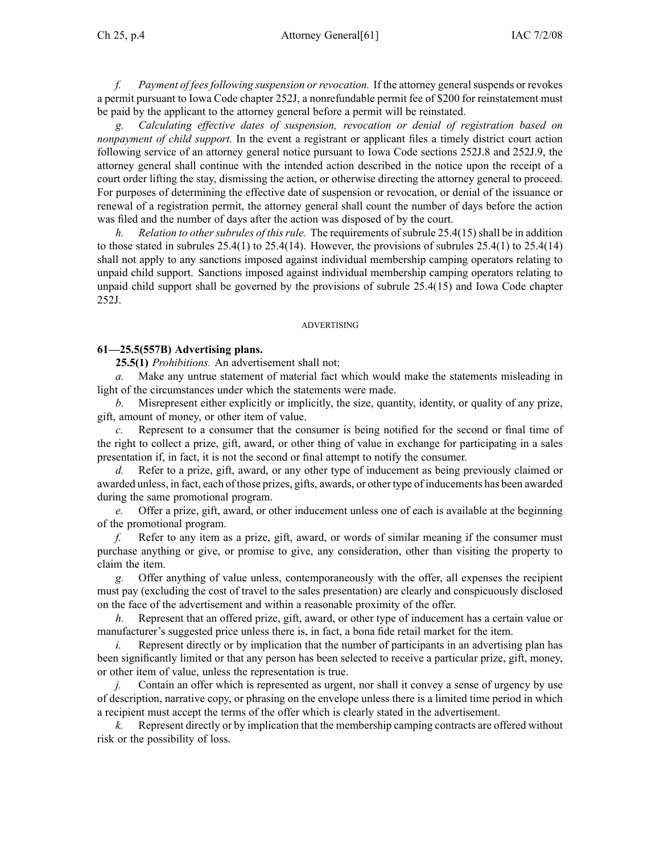*f. Payment of feesfollowing suspension orrevocation.* If the attorney generalsuspends or revokes <sup>a</sup> permit pursuan<sup>t</sup> to Iowa Code chapter 252J, <sup>a</sup> nonrefundable permit fee of \$200 for reinstatement must be paid by the applicant to the attorney general before <sup>a</sup> permit will be reinstated.

*g. Calculating effective dates of suspension, revocation or denial of registration based on nonpaymen<sup>t</sup> of child support.* In the event <sup>a</sup> registrant or applicant files <sup>a</sup> timely district court action following service of an attorney general notice pursuan<sup>t</sup> to Iowa Code sections 252J.8 and 252J.9, the attorney general shall continue with the intended action described in the notice upon the receipt of <sup>a</sup> court order lifting the stay, dismissing the action, or otherwise directing the attorney general to proceed. For purposes of determining the effective date of suspension or revocation, or denial of the issuance or renewal of <sup>a</sup> registration permit, the attorney general shall count the number of days before the action was filed and the number of days after the action was disposed of by the court.

*h. Relation to othersubrules of thisrule.* The requirements ofsubrule 25.4(15)shall be in addition to those stated in subrules  $25.4(1)$  to  $25.4(14)$ . However, the provisions of subrules  $25.4(1)$  to  $25.4(14)$ shall not apply to any sanctions imposed against individual membership camping operators relating to unpaid child support. Sanctions imposed against individual membership camping operators relating to unpaid child suppor<sup>t</sup> shall be governed by the provisions of subrule 25.4(15) and Iowa Code chapter 252J.

### ADVERTISING

### **61—25.5(557B) Advertising plans.**

**25.5(1)** *Prohibitions.* An advertisement shall not:

*a.* Make any untrue statement of material fact which would make the statements misleading in light of the circumstances under which the statements were made.

*b.* Misrepresent either explicitly or implicitly, the size, quantity, identity, or quality of any prize, gift, amount of money, or other item of value.

*c.* Represent to <sup>a</sup> consumer that the consumer is being notified for the second or final time of the right to collect <sup>a</sup> prize, gift, award, or other thing of value in exchange for participating in <sup>a</sup> sales presentation if, in fact, it is not the second or final attempt to notify the consumer.

*d.* Refer to <sup>a</sup> prize, gift, award, or any other type of inducement as being previously claimed or awarded unless, in fact, each of those prizes, gifts, awards, or other type of inducements has been awarded during the same promotional program.

*e.* Offer <sup>a</sup> prize, gift, award, or other inducement unless one of each is available at the beginning of the promotional program.

*f.* Refer to any item as <sup>a</sup> prize, gift, award, or words of similar meaning if the consumer must purchase anything or give, or promise to give, any consideration, other than visiting the property to claim the item.

*g.* Offer anything of value unless, contemporaneously with the offer, all expenses the recipient must pay (excluding the cost of travel to the sales presentation) are clearly and conspicuously disclosed on the face of the advertisement and within <sup>a</sup> reasonable proximity of the offer.

*h.* Represent that an offered prize, gift, award, or other type of inducement has <sup>a</sup> certain value or manufacturer's suggested price unless there is, in fact, <sup>a</sup> bona fide retail market for the item.

*i.* Represent directly or by implication that the number of participants in an advertising plan has been significantly limited or that any person has been selected to receive <sup>a</sup> particular prize, gift, money, or other item of value, unless the representation is true.

*j.* Contain an offer which is represented as urgent, nor shall it convey a sense of urgency by use of description, narrative copy, or phrasing on the envelope unless there is <sup>a</sup> limited time period in which <sup>a</sup> recipient must accep<sup>t</sup> the terms of the offer which is clearly stated in the advertisement.

*k.* Represent directly or by implication that the membership camping contracts are offered without risk or the possibility of loss.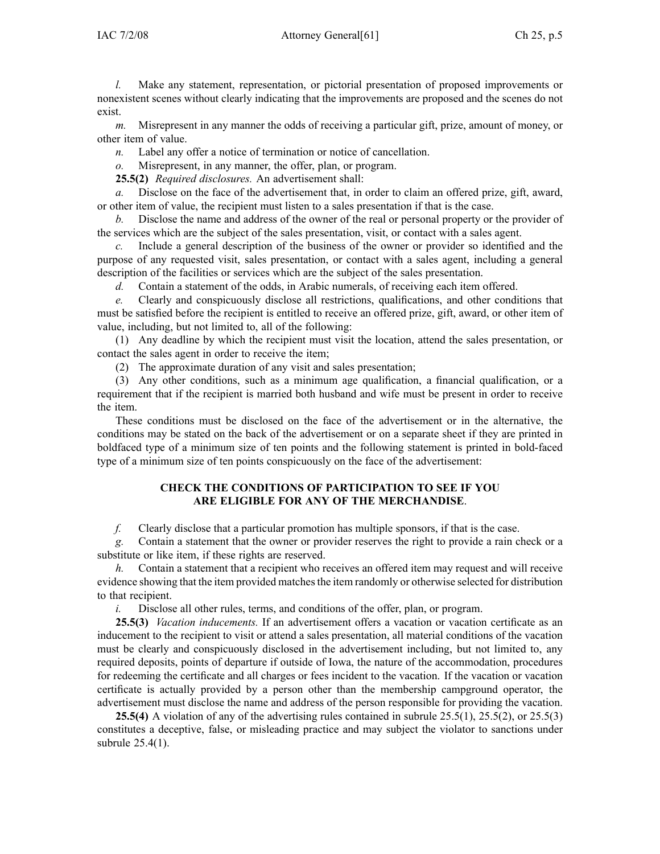*l.* Make any statement, representation, or pictorial presentation of proposed improvements or nonexistent scenes without clearly indicating that the improvements are proposed and the scenes do not exist.

*m.* Misrepresent in any manner the odds of receiving <sup>a</sup> particular gift, prize, amount of money, or other item of value.

*n.* Label any offer <sup>a</sup> notice of termination or notice of cancellation.

*o.* Misrepresent, in any manner, the offer, plan, or program.

**25.5(2)** *Required disclosures.* An advertisement shall:

*a.* Disclose on the face of the advertisement that, in order to claim an offered prize, gift, award, or other item of value, the recipient must listen to <sup>a</sup> sales presentation if that is the case.

*b.* Disclose the name and address of the owner of the real or personal property or the provider of the services which are the subject of the sales presentation, visit, or contact with <sup>a</sup> sales agent.

*c.* Include <sup>a</sup> general description of the business of the owner or provider so identified and the purpose of any requested visit, sales presentation, or contact with <sup>a</sup> sales agent, including <sup>a</sup> general description of the facilities or services which are the subject of the sales presentation.

*d.* Contain <sup>a</sup> statement of the odds, in Arabic numerals, of receiving each item offered.

*e.* Clearly and conspicuously disclose all restrictions, qualifications, and other conditions that must be satisfied before the recipient is entitled to receive an offered prize, gift, award, or other item of value, including, but not limited to, all of the following:

(1) Any deadline by which the recipient must visit the location, attend the sales presentation, or contact the sales agen<sup>t</sup> in order to receive the item;

(2) The approximate duration of any visit and sales presentation;

(3) Any other conditions, such as <sup>a</sup> minimum age qualification, <sup>a</sup> financial qualification, or <sup>a</sup> requirement that if the recipient is married both husband and wife must be presen<sup>t</sup> in order to receive the item.

These conditions must be disclosed on the face of the advertisement or in the alternative, the conditions may be stated on the back of the advertisement or on <sup>a</sup> separate sheet if they are printed in boldfaced type of <sup>a</sup> minimum size of ten points and the following statement is printed in bold-faced type of <sup>a</sup> minimum size of ten points conspicuously on the face of the advertisement:

# **CHECK THE CONDITIONS OF PARTICIPATION TO SEE IF YOU ARE ELIGIBLE FOR ANY OF THE MERCHANDISE**.

*f.* Clearly disclose that <sup>a</sup> particular promotion has multiple sponsors, if that is the case.

*g.* Contain <sup>a</sup> statement that the owner or provider reserves the right to provide <sup>a</sup> rain check or <sup>a</sup> substitute or like item, if these rights are reserved.

*h.* Contain a statement that a recipient who receives an offered item may request and will receive evidence showing that the item provided matches the item randomly or otherwise selected for distribution to that recipient.

*i.* Disclose all other rules, terms, and conditions of the offer, plan, or program.

**25.5(3)** *Vacation inducements.* If an advertisement offers <sup>a</sup> vacation or vacation certificate as an inducement to the recipient to visit or attend <sup>a</sup> sales presentation, all material conditions of the vacation must be clearly and conspicuously disclosed in the advertisement including, but not limited to, any required deposits, points of departure if outside of Iowa, the nature of the accommodation, procedures for redeeming the certificate and all charges or fees incident to the vacation. If the vacation or vacation certificate is actually provided by <sup>a</sup> person other than the membership campground operator, the advertisement must disclose the name and address of the person responsible for providing the vacation.

**25.5(4)** A violation of any of the advertising rules contained in subrule 25.5(1), 25.5(2), or 25.5(3) constitutes <sup>a</sup> deceptive, false, or misleading practice and may subject the violator to sanctions under subrule 25.4(1).